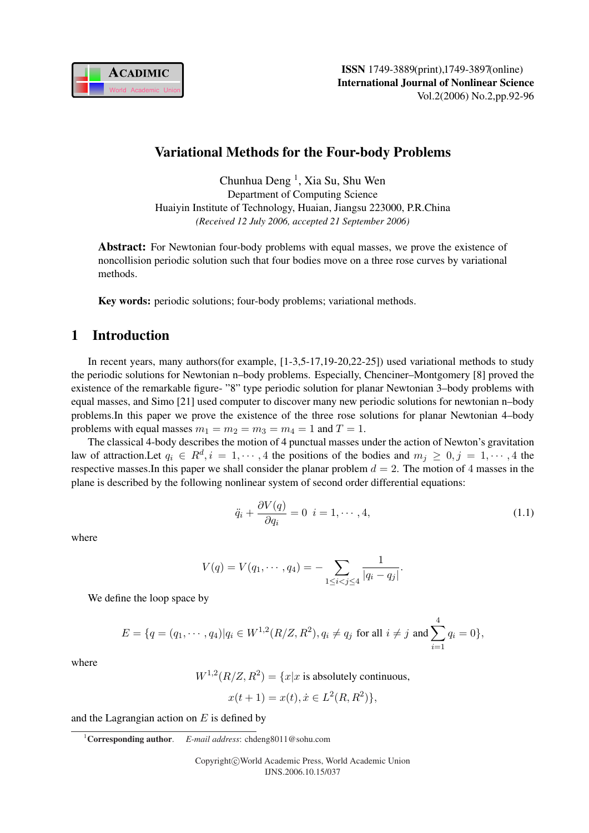

# Variational Methods for the Four-body Problems

Chunhua Deng<sup>1</sup>, Xia Su, Shu Wen Department of Computing Science Huaiyin Institute of Technology, Huaian, Jiangsu 223000, P.R.China *(Received 12 July 2006, accepted 21 September 2006)*

**Abstract:** For Newtonian four-body problems with equal masses, we prove the existence of noncollision periodic solution such that four bodies move on a three rose curves by variational methods.

Key words: periodic solutions; four-body problems; variational methods.

## 1 Introduction

In recent years, many authors(for example, [1-3,5-17,19-20,22-25]) used variational methods to study the periodic solutions for Newtonian n–body problems. Especially, Chenciner–Montgomery [8] proved the existence of the remarkable figure- "8" type periodic solution for planar Newtonian 3–body problems with equal masses, and Simo [21] used computer to discover many new periodic solutions for newtonian n–body problems.In this paper we prove the existence of the three rose solutions for planar Newtonian 4–body problems with equal masses  $m_1 = m_2 = m_3 = m_4 = 1$  and  $T = 1$ .

The classical 4-body describes the motion of 4 punctual masses under the action of Newton's gravitation law of attraction. Let  $q_i \in R^d, i = 1, \dots, 4$  the positions of the bodies and  $m_j \geq 0, j = 1, \dots, 4$  the respective masses. In this paper we shall consider the planar problem  $d = 2$ . The motion of 4 masses in the plane is described by the following nonlinear system of second order differential equations:

$$
\ddot{q}_i + \frac{\partial V(q)}{\partial q_i} = 0 \quad i = 1, \cdots, 4,
$$
\n(1.1)

where

$$
V(q) = V(q_1, \cdots, q_4) = - \sum_{1 \leq i < j \leq 4} \frac{1}{|q_i - q_j|}.
$$

We define the loop space by

$$
E = \{q = (q_1, \cdots, q_4) | q_i \in W^{1,2}(R/Z, R^2), q_i \neq q_j \text{ for all } i \neq j \text{ and } \sum_{i=1}^4 q_i = 0\},\
$$

where

 $W^{1,2}(R/Z, R^2) = \{x | x$  is absolutely continuous,

$$
x(t+1) = x(t), \dot{x} \in L^2(R, R^2),
$$

and the Lagrangian action on  $E$  is defined by

<sup>1</sup>Corresponding author. *E-mail address*: chdeng8011@sohu.com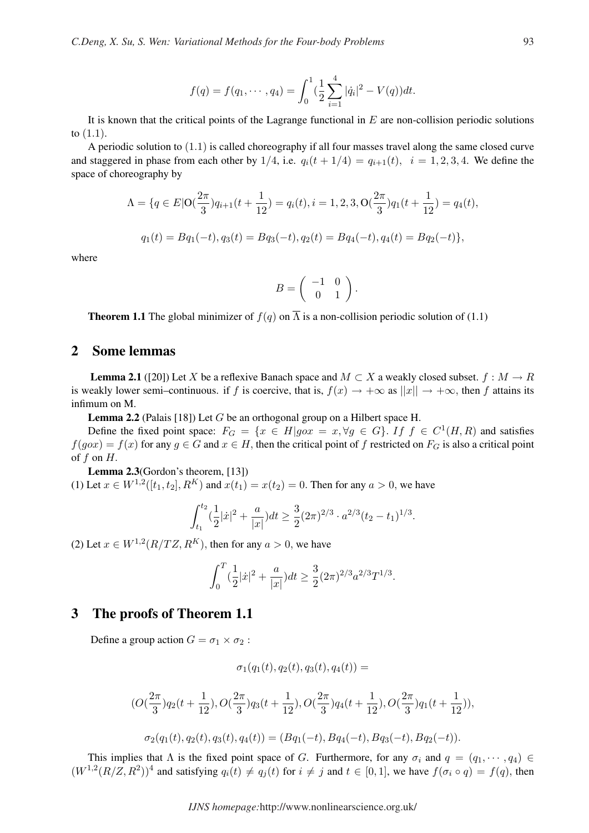$$
f(q) = f(q_1, \dots, q_4) = \int_0^1 \left(\frac{1}{2} \sum_{i=1}^4 |\dot{q}_i|^2 - V(q)\right) dt.
$$

It is known that the critical points of the Lagrange functional in  $E$  are non-collision periodic solutions to  $(1.1)$ .

A periodic solution to (1.1) is called choreography if all four masses travel along the same closed curve and staggered in phase from each other by  $1/4$ , i.e.  $q_i(t + 1/4) = q_{i+1}(t)$ ,  $i = 1, 2, 3, 4$ . We define the space of choreography by

$$
\Lambda = \{q \in E | \mathcal{O}(\frac{2\pi}{3})q_{i+1}(t + \frac{1}{12}) = q_i(t), i = 1, 2, 3, \mathcal{O}(\frac{2\pi}{3})q_1(t + \frac{1}{12}) = q_4(t),
$$
  

$$
q_1(t) = Bq_1(-t), q_3(t) = Bq_3(-t), q_2(t) = Bq_4(-t), q_4(t) = Bq_2(-t)\},
$$

where

$$
B = \left( \begin{array}{cc} -1 & 0 \\ 0 & 1 \end{array} \right).
$$

**Theorem 1.1** The global minimizer of  $f(q)$  on  $\overline{\Lambda}$  is a non-collision periodic solution of (1.1)

### 2 Some lemmas

**Lemma 2.1** ([20]) Let X be a reflexive Banach space and  $M \subset X$  a weakly closed subset.  $f : M \to R$ is weakly lower semi–continuous. if f is coercive, that is,  $f(x) \to +\infty$  as  $||x|| \to +\infty$ , then f attains its infimum on M.

**Lemma 2.2** (Palais [18]) Let G be an orthogonal group on a Hilbert space H.

Define the fixed point space:  $F_G = \{x \in H | g \circ x = x, \forall g \in G\}$ . If  $f \in C^1(H, R)$  and satisfies  $f(g\circ x) = f(x)$  for any  $g \in G$  and  $x \in H$ , then the critical point of f restricted on  $F_G$  is also a critical point of  $f$  on  $H$ .

Lemma 2.3(Gordon's theorem, [13])

(1) Let  $x \in W^{1,2}([t_1, t_2], R^K)$  and  $x(t_1) = x(t_2) = 0$ . Then for any  $a > 0$ , we have

$$
\int_{t_1}^{t_2} \left(\frac{1}{2}|\dot{x}|^2 + \frac{a}{|x|}\right) dt \ge \frac{3}{2} (2\pi)^{2/3} \cdot a^{2/3} (t_2 - t_1)^{1/3}.
$$

(2) Let  $x \in W^{1,2}(R/TZ, R^K)$ , then for any  $a > 0$ , we have

$$
\int_0^T \left(\frac{1}{2}|\dot{x}|^2 + \frac{a}{|x|}\right)dt \ge \frac{3}{2}(2\pi)^{2/3}a^{2/3}T^{1/3}.
$$

#### 3 The proofs of Theorem 1.1

Define a group action  $G = \sigma_1 \times \sigma_2$ :

$$
\sigma_1(q_1(t), q_2(t), q_3(t), q_4(t)) =
$$

$$
\begin{aligned} & (O(\frac{2\pi}{3})q_2(t+\frac{1}{12}), O(\frac{2\pi}{3})q_3(t+\frac{1}{12}), O(\frac{2\pi}{3})q_4(t+\frac{1}{12}), O(\frac{2\pi}{3})q_1(t+\frac{1}{12})),\\ & \sigma_2(q_1(t),q_2(t),q_3(t),q_4(t)) = (Bq_1(-t),Bq_4(-t),Bq_3(-t),Bq_2(-t)). \end{aligned}
$$

This implies that  $\Lambda$  is the fixed point space of G. Furthermore, for any  $\sigma_i$  and  $q = (q_1, \dots, q_4) \in$  $(W^{1,2}(R/Z, R^2))^4$  and satisfying  $q_i(t) \neq q_j(t)$  for  $i \neq j$  and  $t \in [0, 1]$ , we have  $f(\sigma_i \circ q) = f(q)$ , then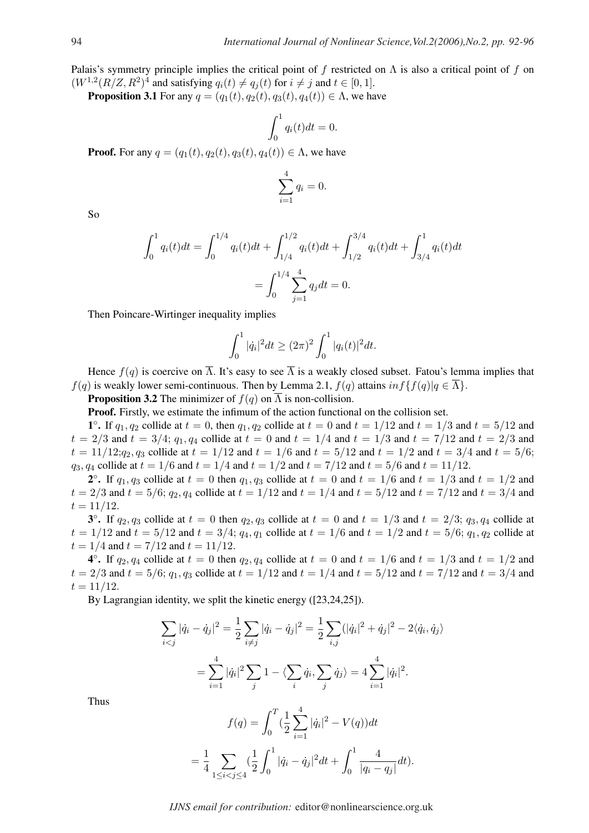Palais's symmetry principle implies the critical point of f restricted on  $\Lambda$  is also a critical point of f on  $(W^{1,2}(R/Z, R^2)^4$  and satisfying  $q_i(t) \neq q_j(t)$  for  $i \neq j$  and  $t \in [0, 1]$ .

**Proposition 3.1** For any  $q = (q_1(t), q_2(t), q_3(t), q_4(t)) \in \Lambda$ , we have

$$
\int_0^1 q_i(t)dt = 0.
$$

**Proof.** For any  $q = (q_1(t), q_2(t), q_3(t), q_4(t)) \in \Lambda$ , we have

$$
\sum_{i=1}^{4} q_i = 0.
$$

So

$$
\int_0^1 q_i(t)dt = \int_0^{1/4} q_i(t)dt + \int_{1/4}^{1/2} q_i(t)dt + \int_{1/2}^{3/4} q_i(t)dt + \int_{3/4}^1 q_i(t)dt
$$

$$
= \int_0^{1/4} \sum_{j=1}^4 q_j dt = 0.
$$

Then Poincare-Wirtinger inequality implies

$$
\int_0^1 |\dot{q}_i|^2 dt \ge (2\pi)^2 \int_0^1 |q_i(t)|^2 dt.
$$

Hence  $f(q)$  is coercive on  $\overline{\Lambda}$ . It's easy to see  $\overline{\Lambda}$  is a weakly closed subset. Fatou's lemma implies that  $f(q)$  is weakly lower semi-continuous. Then by Lemma 2.1,  $f(q)$  attains  $inf{f(q)|q \in \overline{\Lambda}}$ .

**Proposition 3.2** The minimizer of  $f(q)$  on  $\overline{\Lambda}$  is non-collision.

Proof. Firstly, we estimate the infimum of the action functional on the collision set.

1°. If  $q_1, q_2$  collide at  $t = 0$ , then  $q_1, q_2$  collide at  $t = 0$  and  $t = 1/12$  and  $t = 1/3$  and  $t = 5/12$  and  $t = 2/3$  and  $t = 3/4$ ;  $q_1, q_4$  collide at  $t = 0$  and  $t = 1/4$  and  $t = 1/3$  and  $t = 7/12$  and  $t = 2/3$  and  $t = 11/12; q_2, q_3$  collide at  $t = 1/12$  and  $t = 1/6$  and  $t = 5/12$  and  $t = 1/2$  and  $t = 3/4$  and  $t = 5/6$ ;  $q_3$ ,  $q_4$  collide at  $t = 1/6$  and  $t = 1/4$  and  $t = 1/2$  and  $t = 7/12$  and  $t = 5/6$  and  $t = 11/12$ .

2°. If  $q_1, q_3$  collide at  $t = 0$  then  $q_1, q_3$  collide at  $t = 0$  and  $t = 1/6$  and  $t = 1/3$  and  $t = 1/2$  and  $t = 2/3$  and  $t = 5/6$ ;  $q_2$ ,  $q_4$  collide at  $t = 1/12$  and  $t = 1/4$  and  $t = 5/12$  and  $t = 7/12$  and  $t = 3/4$  and  $t = 11/12$ .

3°. If  $q_2, q_3$  collide at  $t = 0$  then  $q_2, q_3$  collide at  $t = 0$  and  $t = 1/3$  and  $t = 2/3$ ;  $q_3, q_4$  collide at  $t = 1/12$  and  $t = 5/12$  and  $t = 3/4$ ;  $q_4$ ,  $q_1$  collide at  $t = 1/6$  and  $t = 1/2$  and  $t = 5/6$ ;  $q_1$ ,  $q_2$  collide at  $t = 1/4$  and  $t = 7/12$  and  $t = 11/12$ .

4°. If  $q_2, q_4$  collide at  $t = 0$  then  $q_2, q_4$  collide at  $t = 0$  and  $t = 1/6$  and  $t = 1/3$  and  $t = 1/2$  and  $t = 2/3$  and  $t = 5/6$ ;  $q_1, q_3$  collide at  $t = 1/12$  and  $t = 1/4$  and  $t = 5/12$  and  $t = 7/12$  and  $t = 3/4$  and  $t = 11/12$ .

By Lagrangian identity, we split the kinetic energy ([23,24,25]).

$$
\sum_{i < j} |\dot{q}_i - \dot{q}_j|^2 = \frac{1}{2} \sum_{i \neq j} |\dot{q}_i - \dot{q}_j|^2 = \frac{1}{2} \sum_{i,j} (|\dot{q}_i|^2 + \dot{q}_j|^2 - 2\langle \dot{q}_i, \dot{q}_j \rangle
$$
\n
$$
= \sum_{i=1}^4 |\dot{q}_i|^2 \sum_j 1 - \langle \sum_i \dot{q}_i, \sum_j \dot{q}_j \rangle = 4 \sum_{i=1}^4 |\dot{q}_i|^2.
$$

Thus

$$
f(q) = \int_0^T \left(\frac{1}{2} \sum_{i=1}^4 |\dot{q}_i|^2 - V(q)\right) dt
$$
  
= 
$$
\frac{1}{4} \sum_{1 \le i < j \le 4} \left(\frac{1}{2} \int_0^1 |\dot{q}_i - \dot{q}_j|^2 dt + \int_0^1 \frac{4}{|q_i - q_j|} dt\right).
$$

*IJNS email for contribution:* editor@nonlinearscience.org.uk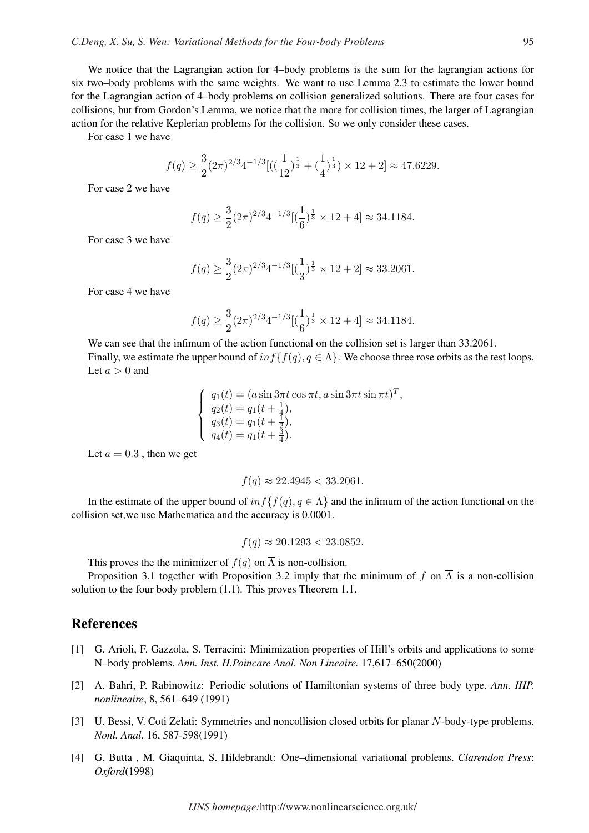We notice that the Lagrangian action for 4–body problems is the sum for the lagrangian actions for six two–body problems with the same weights. We want to use Lemma 2.3 to estimate the lower bound for the Lagrangian action of 4–body problems on collision generalized solutions. There are four cases for collisions, but from Gordon's Lemma, we notice that the more for collision times, the larger of Lagrangian action for the relative Keplerian problems for the collision. So we only consider these cases.

For case 1 we have

$$
f(q) \ge \frac{3}{2} (2\pi)^{2/3} 4^{-1/3} [((\frac{1}{12})^{\frac{1}{3}} + (\frac{1}{4})^{\frac{1}{3}}) \times 12 + 2] \approx 47.6229.
$$

For case 2 we have

$$
f(q) \ge \frac{3}{2} (2\pi)^{2/3} 4^{-1/3} [(\frac{1}{6})^{\frac{1}{3}} \times 12 + 4] \approx 34.1184.
$$

For case 3 we have

$$
f(q) \ge \frac{3}{2} (2\pi)^{2/3} 4^{-1/3} [(\frac{1}{3})^{\frac{1}{3}} \times 12 + 2] \approx 33.2061.
$$

For case 4 we have

$$
f(q) \ge \frac{3}{2} (2\pi)^{2/3} 4^{-1/3} \left[ \left( \frac{1}{6} \right)^{\frac{1}{3}} \times 12 + 4 \right] \approx 34.1184.
$$

We can see that the infimum of the action functional on the collision set is larger than 33.2061. Finally, we estimate the upper bound of  $inf\{f(q), q \in \Lambda\}$ . We choose three rose orbits as the test loops. Let  $a > 0$  and

> $\overline{a}$  $\left($  $\mathcal{L}$  $q_1(t) = (a \sin 3\pi t \cos \pi t, a \sin 3\pi t \sin \pi t)^T,$  $q_2(t) = q_1(t + \frac{1}{4})$  $\frac{1}{4}),$  $q_3(t) = q_1(t + \frac{1}{2})$  $(\frac{1}{2}),$  $q_4(t) = q_1(t + \frac{5}{4})$  $\frac{3}{4}$ .

Let  $a = 0.3$ , then we get

$$
f(q) \approx 22.4945 < 33.2061.
$$

In the estimate of the upper bound of  $inf{f(q), q \in \Lambda}$  and the infimum of the action functional on the collision set,we use Mathematica and the accuracy is 0.0001.

$$
f(q) \approx 20.1293 < 23.0852.
$$

This proves the the minimizer of  $f(q)$  on  $\overline{\Lambda}$  is non-collision.

Proposition 3.1 together with Proposition 3.2 imply that the minimum of f on  $\overline{\Lambda}$  is a non-collision solution to the four body problem (1.1). This proves Theorem 1.1.

### References

- [1] G. Arioli, F. Gazzola, S. Terracini: Minimization properties of Hill's orbits and applications to some N–body problems. *Ann. Inst. H.Poincare Anal. Non Lineaire.* 17,617–650(2000)
- [2] A. Bahri, P. Rabinowitz: Periodic solutions of Hamiltonian systems of three body type. *Ann. IHP. nonlineaire*, 8, 561–649 (1991)
- [3] U. Bessi, V. Coti Zelati: Symmetries and noncollision closed orbits for planar N-body-type problems. *Nonl. Anal.* 16, 587-598(1991)
- [4] G. Butta , M. Giaquinta, S. Hildebrandt: One–dimensional variational problems. *Clarendon Press*: *Oxford*(1998)